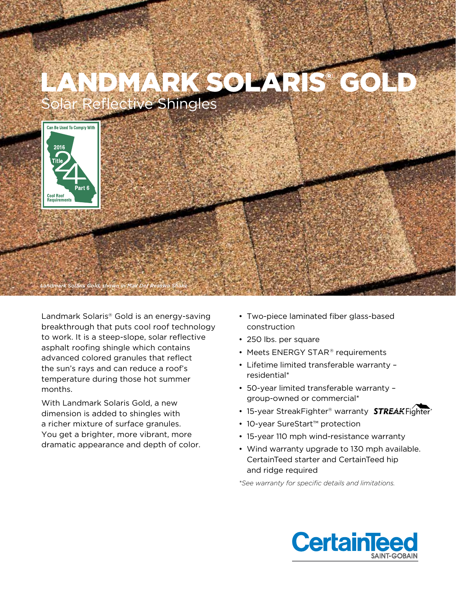

Landmark Solaris® Gold is an energy-saving breakthrough that puts cool roof technology to work. It is a steep-slope, solar reflective asphalt roofing shingle which contains advanced colored granules that reflect the sun's rays and can reduce a roof's temperature during those hot summer months.

With Landmark Solaris Gold, a new dimension is added to shingles with a richer mixture of surface granules. You get a brighter, more vibrant, more dramatic appearance and depth of color.

- Two-piece laminated fiber glass-based construction
- 250 lbs. per square
- Meets ENERGY STAR® requirements
- Lifetime limited transferable warranty residential\*
- 50-year limited transferable warranty group-owned or commercial\*
- 15-year StreakFighter® warranty **STREAK**Fighter<sup>®</sup>
- 10-year SureStart™ protection
- 15-year 110 mph wind-resistance warranty
- Wind warranty upgrade to 130 mph available. CertainTeed starter and CertainTeed hip and ridge required

*\*See warranty for specific details and limitations.*